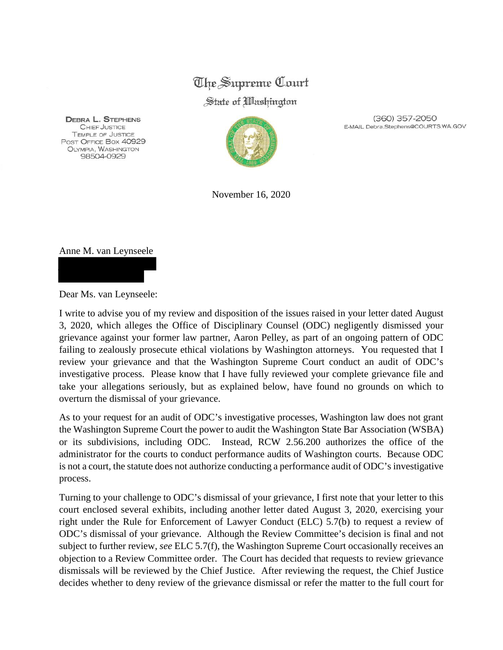## The Supreme Court

## State of *Washington*

**DEBRA L. STEPHENS** CHIEF JUSTICE **TEMPLE OF JUSTICE** POST OFFICE Box 40929 OLYMPIA, WASHINGTON 98504-0929



(360) 357-2050 E-MAIL Debra.Stephens@COURTS.WA.GOV

November 16, 2020

## Anne M. van Leynseele



Dear Ms. van Leynseele:

I write to advise you of my review and disposition of the issues raised in your letter dated August 3, 2020, which alleges the Office of Disciplinary Counsel (ODC) negligently dismissed your grievance against your former law partner, Aaron Pelley, as part of an ongoing pattern of ODC failing to zealously prosecute ethical violations by Washington attorneys. You requested that I review your grievance and that the Washington Supreme Court conduct an audit of ODC's investigative process. Please know that I have fully reviewed your complete grievance file and take your allegations seriously, but as explained below, have found no grounds on which to overturn the dismissal of your grievance.

As to your request for an audit of ODC's investigative processes, Washington law does not grant the Washington Supreme Court the power to audit the Washington State Bar Association (WSBA) or its subdivisions, including ODC. Instead, RCW 2.56.200 authorizes the office of the administrator for the courts to conduct performance audits of Washington courts. Because ODC is not a court, the statute does not authorize conducting a performance audit of ODC's investigative process.

Turning to your challenge to ODC's dismissal of your grievance, I first note that your letter to this court enclosed several exhibits, including another letter dated August 3, 2020, exercising your right under the Rule for Enforcement of Lawyer Conduct (ELC) 5.7(b) to request a review of ODC's dismissal of your grievance. Although the Review Committee's decision is final and not subject to further review, *see* ELC 5.7(f), the Washington Supreme Court occasionally receives an objection to a Review Committee order. The Court has decided that requests to review grievance dismissals will be reviewed by the Chief Justice. After reviewing the request, the Chief Justice decides whether to deny review of the grievance dismissal or refer the matter to the full court for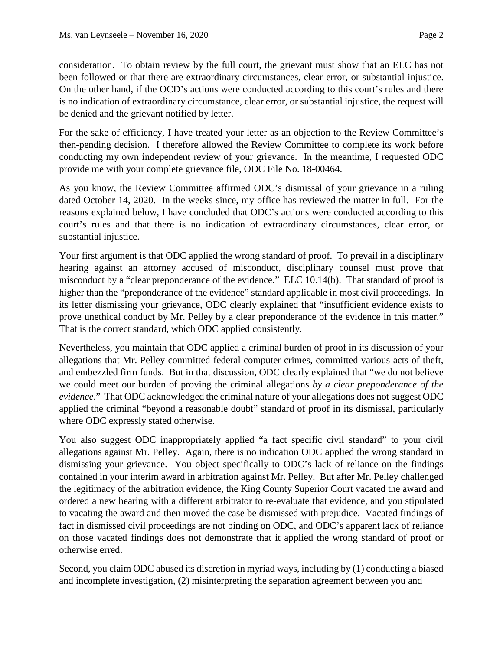consideration. To obtain review by the full court, the grievant must show that an ELC has not been followed or that there are extraordinary circumstances, clear error, or substantial injustice. On the other hand, if the OCD's actions were conducted according to this court's rules and there is no indication of extraordinary circumstance, clear error, or substantial injustice, the request will be denied and the grievant notified by letter.

For the sake of efficiency, I have treated your letter as an objection to the Review Committee's then-pending decision. I therefore allowed the Review Committee to complete its work before conducting my own independent review of your grievance. In the meantime, I requested ODC provide me with your complete grievance file, ODC File No. 18-00464.

As you know, the Review Committee affirmed ODC's dismissal of your grievance in a ruling dated October 14, 2020. In the weeks since, my office has reviewed the matter in full. For the reasons explained below, I have concluded that ODC's actions were conducted according to this court's rules and that there is no indication of extraordinary circumstances, clear error, or substantial injustice.

Your first argument is that ODC applied the wrong standard of proof. To prevail in a disciplinary hearing against an attorney accused of misconduct, disciplinary counsel must prove that misconduct by a "clear preponderance of the evidence." ELC 10.14(b). That standard of proof is higher than the "preponderance of the evidence" standard applicable in most civil proceedings. In its letter dismissing your grievance, ODC clearly explained that "insufficient evidence exists to prove unethical conduct by Mr. Pelley by a clear preponderance of the evidence in this matter." That is the correct standard, which ODC applied consistently.

Nevertheless, you maintain that ODC applied a criminal burden of proof in its discussion of your allegations that Mr. Pelley committed federal computer crimes, committed various acts of theft, and embezzled firm funds. But in that discussion, ODC clearly explained that "we do not believe we could meet our burden of proving the criminal allegations *by a clear preponderance of the evidence*." That ODC acknowledged the criminal nature of your allegations does not suggest ODC applied the criminal "beyond a reasonable doubt" standard of proof in its dismissal, particularly where ODC expressly stated otherwise.

You also suggest ODC inappropriately applied "a fact specific civil standard" to your civil allegations against Mr. Pelley. Again, there is no indication ODC applied the wrong standard in dismissing your grievance. You object specifically to ODC's lack of reliance on the findings contained in your interim award in arbitration against Mr. Pelley. But after Mr. Pelley challenged the legitimacy of the arbitration evidence, the King County Superior Court vacated the award and ordered a new hearing with a different arbitrator to re-evaluate that evidence, and you stipulated to vacating the award and then moved the case be dismissed with prejudice. Vacated findings of fact in dismissed civil proceedings are not binding on ODC, and ODC's apparent lack of reliance on those vacated findings does not demonstrate that it applied the wrong standard of proof or otherwise erred.

Second, you claim ODC abused its discretion in myriad ways, including by (1) conducting a biased and incomplete investigation, (2) misinterpreting the separation agreement between you and